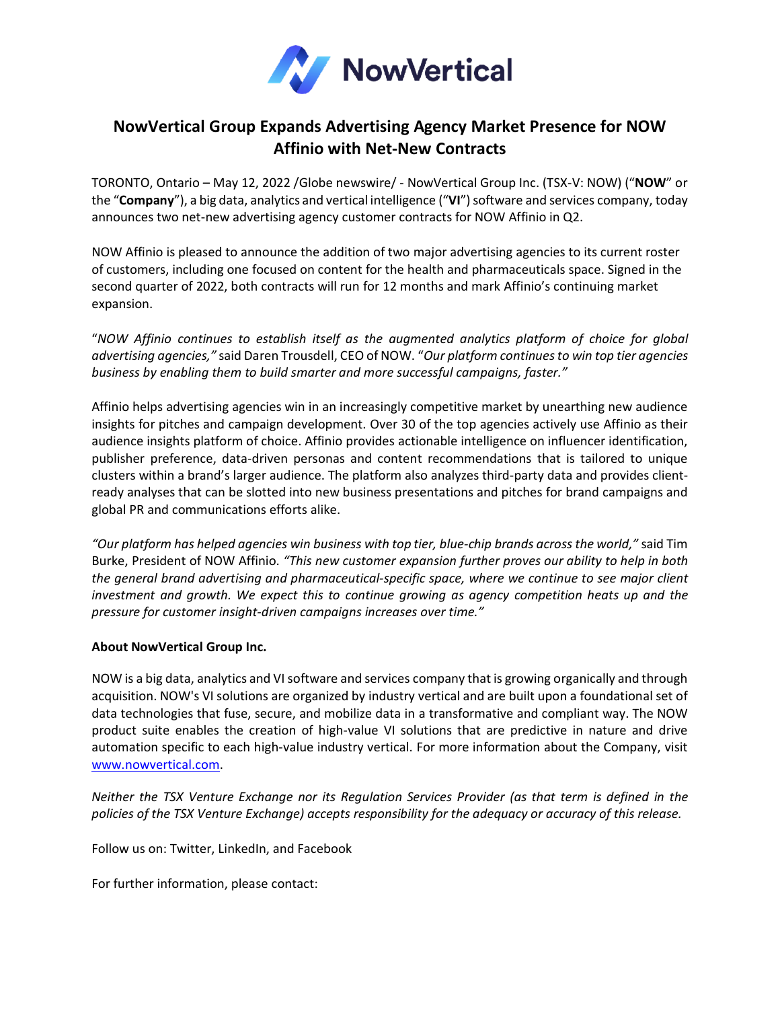

## **NowVertical Group Expands Advertising Agency Market Presence for NOW Affinio with Net-New Contracts**

TORONTO, Ontario – May 12, 2022 /Globe newswire/ - NowVertical Group Inc. (TSX-V: NOW) ("**NOW**" or the "**Company**"), a big data, analytics and vertical intelligence ("**VI**") software and services company, today announces two net-new advertising agency customer contracts for NOW Affinio in Q2.

NOW Affinio is pleased to announce the addition of two major advertising agencies to its current roster of customers, including one focused on content for the health and pharmaceuticals space. Signed in the second quarter of 2022, both contracts will run for 12 months and mark Affinio's continuing market expansion.

"*NOW Affinio continues to establish itself as the augmented analytics platform of choice for global advertising agencies,"* said Daren Trousdell, CEO of NOW. "*Our platform continuesto win top tier agencies business by enabling them to build smarter and more successful campaigns, faster."*

Affinio helps advertising agencies win in an increasingly competitive market by unearthing new audience insights for pitches and campaign development. Over 30 of the top agencies actively use Affinio as their audience insights platform of choice. Affinio provides actionable intelligence on influencer identification, publisher preference, data-driven personas and content recommendations that is tailored to unique clusters within a brand's larger audience. The platform also analyzes third-party data and provides clientready analyses that can be slotted into new business presentations and pitches for brand campaigns and global PR and communications efforts alike.

*"Our platform has helped agencies win business with top tier, blue-chip brands across the world,"* said Tim Burke, President of NOW Affinio. *"This new customer expansion further proves our ability to help in both the general brand advertising and pharmaceutical-specific space, where we continue to see major client investment and growth. We expect this to continue growing as agency competition heats up and the pressure for customer insight-driven campaigns increases over time."*

## **About NowVertical Group Inc.**

NOW is a big data, analytics and VI software and services company that is growing organically and through acquisition. NOW's VI solutions are organized by industry vertical and are built upon a foundational set of data technologies that fuse, secure, and mobilize data in a transformative and compliant way. The NOW product suite enables the creation of high-value VI solutions that are predictive in nature and drive automation specific to each high-value industry vertical. For more information about the Company, visit [www.nowvertical.com.](http://www.nowvertical.com/)

*Neither the TSX Venture Exchange nor its Regulation Services Provider (as that term is defined in the policies of the TSX Venture Exchange) accepts responsibility for the adequacy or accuracy of this release.*

Follow us on: Twitter, LinkedIn, and Facebook

For further information, please contact: